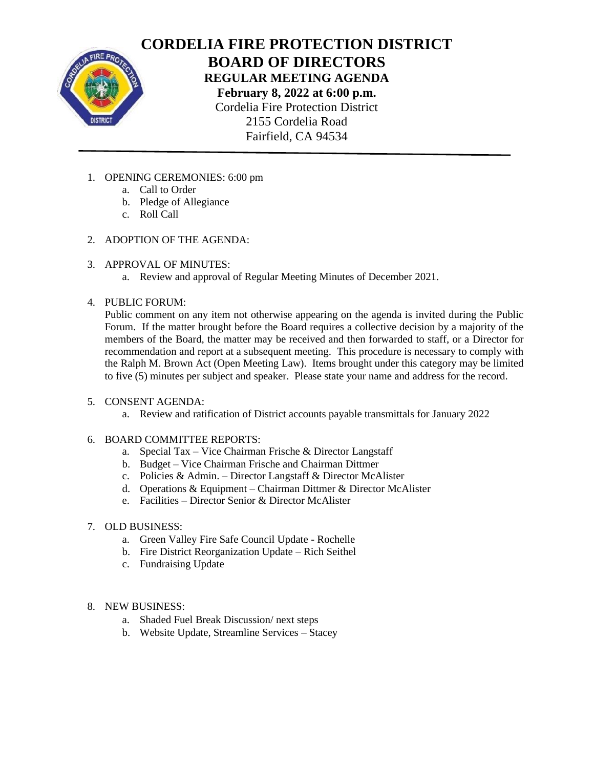

**CORDELIA FIRE PROTECTION DISTRICT BOARD OF DIRECTORS REGULAR MEETING AGENDA February 8, 2022 at 6:00 p.m.** Cordelia Fire Protection District 2155 Cordelia Road Fairfield, CA 94534

- 1. OPENING CEREMONIES: 6:00 pm
	- a. Call to Order
	- b. Pledge of Allegiance
	- c. Roll Call
- 2. ADOPTION OF THE AGENDA:
- 3. APPROVAL OF MINUTES:
	- a. Review and approval of Regular Meeting Minutes of December 2021.
- 4. PUBLIC FORUM:

Public comment on any item not otherwise appearing on the agenda is invited during the Public Forum. If the matter brought before the Board requires a collective decision by a majority of the members of the Board, the matter may be received and then forwarded to staff, or a Director for recommendation and report at a subsequent meeting. This procedure is necessary to comply with the Ralph M. Brown Act (Open Meeting Law). Items brought under this category may be limited to five (5) minutes per subject and speaker. Please state your name and address for the record.

- 5. CONSENT AGENDA:
	- a. Review and ratification of District accounts payable transmittals for January 2022
- 6. BOARD COMMITTEE REPORTS:
	- a. Special Tax Vice Chairman Frische & Director Langstaff
	- b. Budget Vice Chairman Frische and Chairman Dittmer
	- c. Policies & Admin. Director Langstaff & Director McAlister
	- d. Operations & Equipment Chairman Dittmer & Director McAlister
	- e. Facilities Director Senior & Director McAlister
- 7. OLD BUSINESS:
	- a. Green Valley Fire Safe Council Update Rochelle
	- b. Fire District Reorganization Update Rich Seithel
	- c. Fundraising Update
- 8. NEW BUSINESS:
	- a. Shaded Fuel Break Discussion/ next steps
	- b. Website Update, Streamline Services Stacey